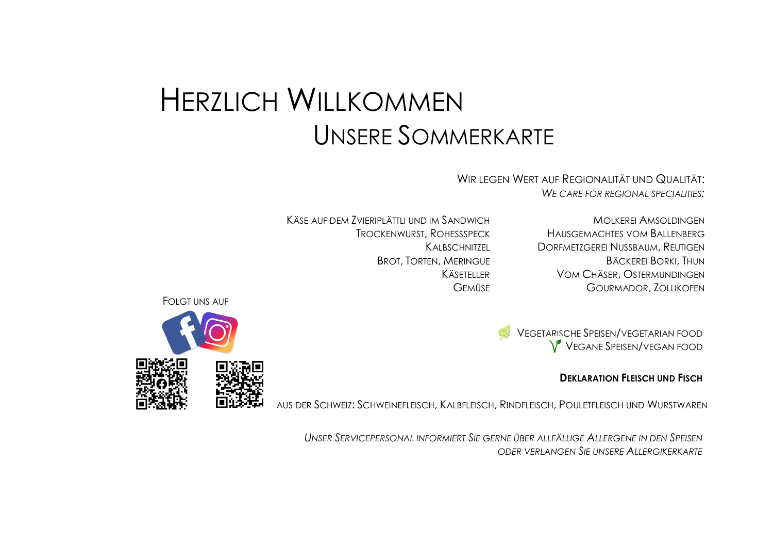## HERZLICH WILLKOMMEN UNSERE SOMMERKARTE

WIR LEGEN WERT AUF REGIONALITÄT UND QUALITÄT: *WE CARE FOR REGIONAL SPECIALITIES:*

KÄSE AUF DEM ZVIERIPLÄTTLI UND IM SANDWICH MOLKEREI AMSOLDINGEN

TROCKENWURST, ROHESSSPECK HAUSGEMACHTES VOM BALLENBERG KALBSCHNITZEL DORFMETZGEREI NUSSBAUM, REUTIGEN BROT, TORTEN, MERINGUE BÄCKEREI BORKI, THUN KÄSETELLER VOM CHÄSER, OSTERMUNDINGEN GEMÜSE GOURMADOR, ZOLLIKOFEN

VEGETARISCHE SPEISEN/VEGETARIAN FOOD VEGANE SPEISEN/VEGAN FOOD

## **DEKLARATION FLEISCH UND FISCH**

AUS DER SCHWEIZ: SCHWEINEFLEISCH, KALBFLEISCH, RINDFLEISCH, POULETFLEISCH UND WURSTWAREN

*UNSER SERVICEPERSONAL INFORMIERT SIE GERNE ÜBER ALLFÄLLIGE ALLERGENE IN DEN SPEISEN ODER VERLANGEN SIE UNSERE ALLERGIKERKARTE*

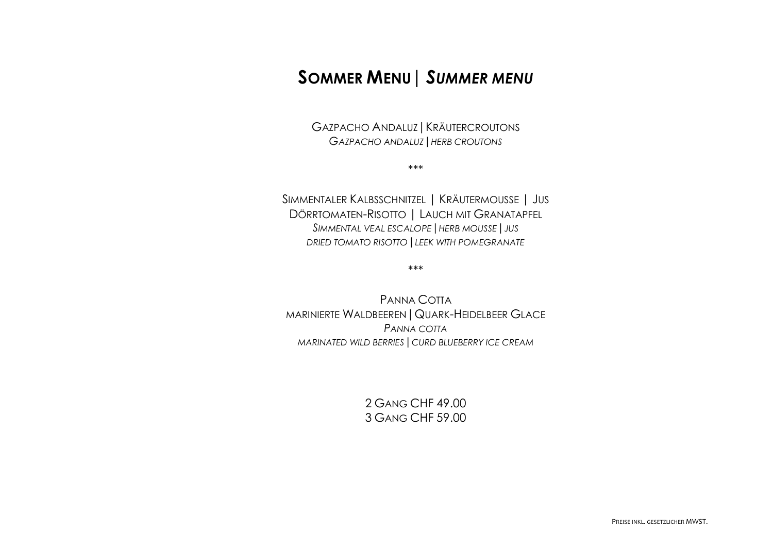## **SOMMER MENU|** *SUMMER MENU*

GAZPACHO ANDALUZ | KRÄUTERCROUTONS *GAZPACHO ANDALUZ|HERB CROUTONS*

\*\*\*

SIMMENTALER KALBSSCHNITZEL | KRÄUTERMOUSSE | JUS DÖRRTOMATEN-RISOTTO | LAUCH MIT GRANATAPFEL *SIMMENTAL VEAL ESCALOPE|HERB MOUSSE|JUS DRIED TOMATO RISOTTO|LEEK WITH POMEGRANATE*

\*\*\*

PANNA COTTA MARINIERTE WALDBEEREN|QUARK-HEIDELBEER GLACE *PANNA COTTA MARINATED WILD BERRIES|CURD BLUEBERRY ICE CREAM*

> 2 GANG CHF 49.00 3 GANG CHF 59.00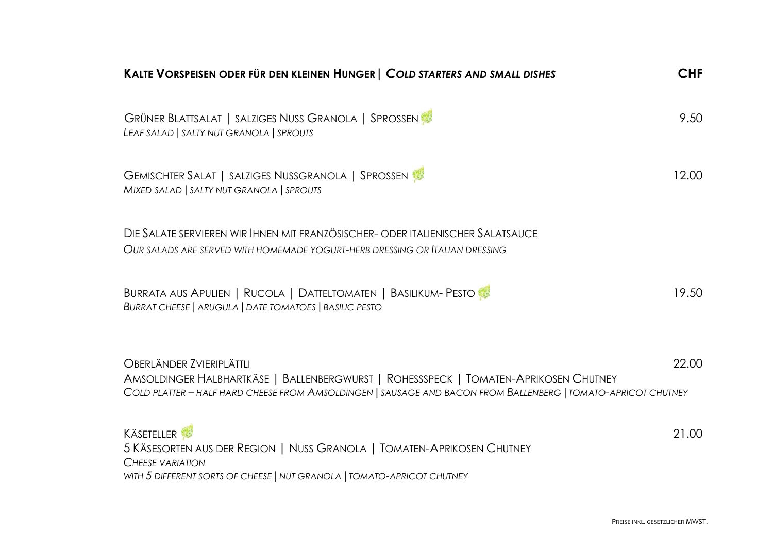| KALTE VORSPEISEN ODER FÜR DEN KLEINEN HUNGER   COLD STARTERS AND SMALL DISHES                                                                                                                                                            | <b>CHF</b> |
|------------------------------------------------------------------------------------------------------------------------------------------------------------------------------------------------------------------------------------------|------------|
| GRÜNER BLATTSALAT   SALZIGES NUSS GRANOLA   SPROSSEN<br>LEAF SALAD   SALTY NUT GRANOLA   SPROUTS                                                                                                                                         | 9.50       |
| GEMISCHTER SALAT   SALZIGES NUSSGRANOLA   SPROSSEN<br>MIXED SALAD   SALTY NUT GRANOLA   SPROUTS                                                                                                                                          | 12.00      |
| DIE SALATE SERVIEREN WIR IHNEN MIT FRANZÖSISCHER- ODER ITALIENISCHER SALATSAUCE<br>OUR SALADS ARE SERVED WITH HOMEMADE YOGURT-HERB DRESSING OR ITALIAN DRESSING                                                                          |            |
| BURRATA AUS APULIEN   RUCOLA   DATTELTOMATEN   BASILIKUM- PESTO<br>BURRAT CHEESE   ARUGULA   DATE TOMATOES   BASILIC PESTO                                                                                                               | 19.50      |
| <b>OBERLÄNDER ZVIERIPLÄTTLI</b><br>AMSOLDINGER HALBHARTKÄSE   BALLENBERGWURST   ROHESSSPECK   TOMATEN-APRIKOSEN CHUTNEY<br>COLD PLATTER - HALF HARD CHEESE FROM AMSOLDINGEN   SAUSAGE AND BACON FROM BALLENBERG   TOMATO-APRICOT CHUTNEY | 22.00      |
| <b>KÄSETELLER</b><br>5 KÄSESORTEN AUS DER REGION   NUSS GRANOLA   TOMATEN-APRIKOSEN CHUTNEY<br><b>CHEESE VARIATION</b><br>WITH 5 DIFFERENT SORTS OF CHEESE   NUT GRANOLA   TOMATO-APRICOT CHUTNEY                                        | 21.00      |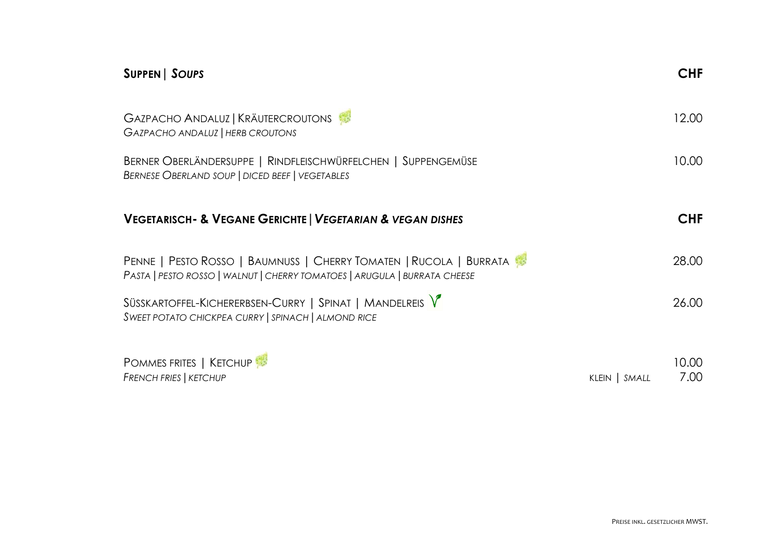| SUPPEN   SOUPS                                                                                                                                  |               | <b>CHF</b>    |
|-------------------------------------------------------------------------------------------------------------------------------------------------|---------------|---------------|
| GAZPACHO ANDALUZ   KRÄUTERCROUTONS<br>GAZPACHO ANDALUZ   HERB CROUTONS                                                                          |               | 12.00         |
| BERNER OBERLÄNDERSUPPE   RINDFLEISCHWÜRFELCHEN   SUPPENGEMÜSE<br><b>BERNESE OBERLAND SOUP   DICED BEEF   VEGETABLES</b>                         |               | 10.00         |
| <b>VEGETARISCH- &amp; VEGANE GERICHTE   VEGETARIAN &amp; VEGAN DISHES</b>                                                                       |               | <b>CHF</b>    |
| PENNE   PESTO ROSSO   BAUMNUSS   CHERRY TOMATEN   RUCOLA   BURRATA<br>PASTA   PESTO ROSSO   WALNUT   CHERRY TOMATOES   ARUGULA   BURRATA CHEESE |               | 28.00         |
| SÜSSKARTOFFEL-KICHERERBSEN-CURRY   SPINAT   MANDELREIS V<br>SWEET POTATO CHICKPEA CURRY   SPINACH   ALMOND RICE                                 |               | 26.00         |
| <b>POMMES FRITES   KETCHUP</b><br><b>FRENCH FRIES   KETCHUP</b>                                                                                 | KLEIN   SMALL | 10.00<br>7.00 |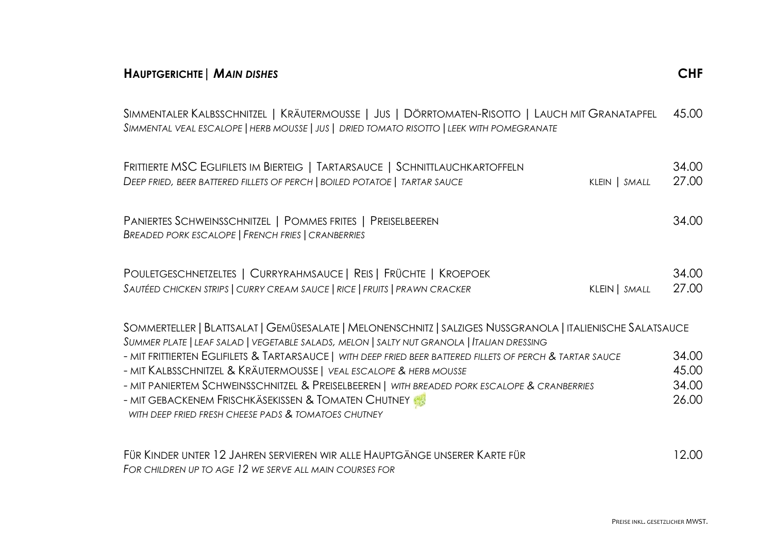| <b>HAUPTGERICHTE   MAIN DISHES</b>                                                                                                                                                                                                                                                                                                                                                              | <b>CHF</b>                       |
|-------------------------------------------------------------------------------------------------------------------------------------------------------------------------------------------------------------------------------------------------------------------------------------------------------------------------------------------------------------------------------------------------|----------------------------------|
| SIMMENTALER KALBSSCHNITZEL   KRÄUTERMOUSSE   JUS   DÖRRTOMATEN-RISOTTO   LAUCH MIT GRANATAPFEL<br>SIMMENTAL VEAL ESCALOPE   HERB MOUSSE   JUS   DRIED TOMATO RISOTTO   LEEK WITH POMEGRANATE                                                                                                                                                                                                    | 45.00                            |
| FRITTIERTE MSC EGLIFILETS IM BIERTEIG   TARTARSAUCE   SCHNITTLAUCHKARTOFFELN<br>DEEP FRIED, BEER BATTERED FILLETS OF PERCH   BOILED POTATOE   TARTAR SAUCE<br>KLEIN   SMALL                                                                                                                                                                                                                     | 34.00<br>27.00                   |
| PANIERTES SCHWEINSSCHNITZEL   POMMES FRITES   PREISELBEEREN<br>BREADED PORK ESCALOPE   FRENCH FRIES   CRANBERRIES                                                                                                                                                                                                                                                                               | 34.00                            |
| POULETGESCHNETZELTES   CURRYRAHMSAUCE   REIS   FRÜCHTE   KROEPOEK<br>SAUTÉED CHICKEN STRIPS   CURRY CREAM SAUCE   RICE   FRUITS   PRAWN CRACKER<br>KLEIN   SMALL                                                                                                                                                                                                                                | 34.00<br>27.00                   |
| SOMMERTELLER   BLATTSALAT   GEMÜSESALATE   MELONENSCHNITZ   SALZIGES NUSSGRANOLA   ITALIENISCHE SALATSAUCE<br>SUMMER PLATE   LEAF SALAD   VEGETABLE SALADS, MELON   SALTY NUT GRANOLA   ITALIAN DRESSING                                                                                                                                                                                        |                                  |
| - MIT FRITTIERTEN EGLIFILETS & TARTARSAUCE   WITH DEEP FRIED BEER BATTERED FILLETS OF PERCH & TARTAR SAUCE<br>- MIT KALBSSCHNITZEL & KRÄUTERMOUSSE   VEAL ESCALOPE & HERB MOUSSE<br>- MIT PANIERTEM SCHWEINSSCHNITZEL & PREISELBEEREN   WITH BREADED PORK ESCALOPE & CRANBERRIES<br>- MIT GEBACKENEM FRISCHKÄSEKISSEN & TOMATEN CHUTNEY<br>WITH DEEP FRIED FRESH CHEESE PADS & TOMATOES CHUTNEY | 34.00<br>45.00<br>34.00<br>26.00 |
| $\overline{L}$ (Dependented 10 Laurence (ED) (EREALIME ALLE HAUDIC ANGELIAISEDED KADIT FÜR                                                                                                                                                                                                                                                                                                      | 1000                             |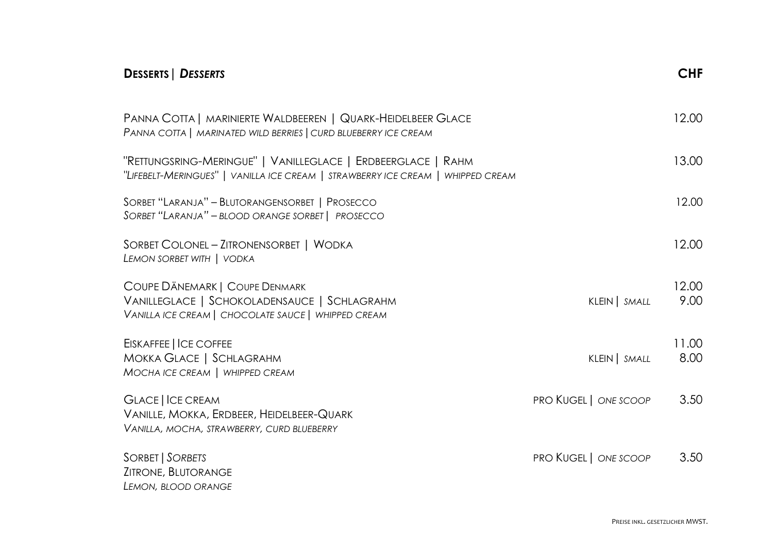| <b>DESSERTS   DESSERTS</b>                                                                                                                      |                              | <b>CHF</b>    |
|-------------------------------------------------------------------------------------------------------------------------------------------------|------------------------------|---------------|
| PANNA COTTA   MARINIERTE WALDBEEREN   QUARK-HEIDELBEER GLACE<br>PANNA COTTA   MARINATED WILD BERRIES   CURD BLUEBERRY ICE CREAM                 |                              | 12.00         |
| "RETTUNGSRING-MERINGUE"   VANILLEGLACE   ERDBEERGLACE   RAHM<br>"LIFEBELT-MERINGUES"   VANILLA ICE CREAM   STRAWBERRY ICE CREAM   WHIPPED CREAM |                              | 13.00         |
| SORBET "LARANJA" - BLUTORANGENSORBET   PROSECCO<br>SORBET "LARANJA" - BLOOD ORANGE SORBET   PROSECCO                                            |                              | 12.00         |
| SORBET COLONEL - ZITRONENSORBET   WODKA<br>LEMON SORBET WITH   VODKA                                                                            |                              | 12.00         |
| COUPE DÄNEMARK   COUPE DENMARK<br>VANILLEGLACE   SCHOKOLADENSAUCE   SCHLAGRAHM<br>VANILLA ICE CREAM   CHOCOLATE SAUCE   WHIPPED CREAM           | KLEIN   SMALL                | 12.00<br>9.00 |
| EISKAFFEE   ICE COFFEE<br>MOKKA GLACE   SCHLAGRAHM<br>MOCHA ICE CREAM   WHIPPED CREAM                                                           | KLEIN   SMALL                | 11.00<br>8.00 |
| <b>GLACE   ICE CREAM</b><br>VANILLE, MOKKA, ERDBEER, HEIDELBEER-QUARK<br>VANILLA, MOCHA, STRAWBERRY, CURD BLUEBERRY                             | <b>PRO KUGEL   ONE SCOOP</b> | 3.50          |
| SORBET   SORBETS<br>ZITRONE, BLUTORANGE<br>LEMON, BLOOD ORANGE                                                                                  | PRO KUGEL   ONE SCOOP        | 3.50          |